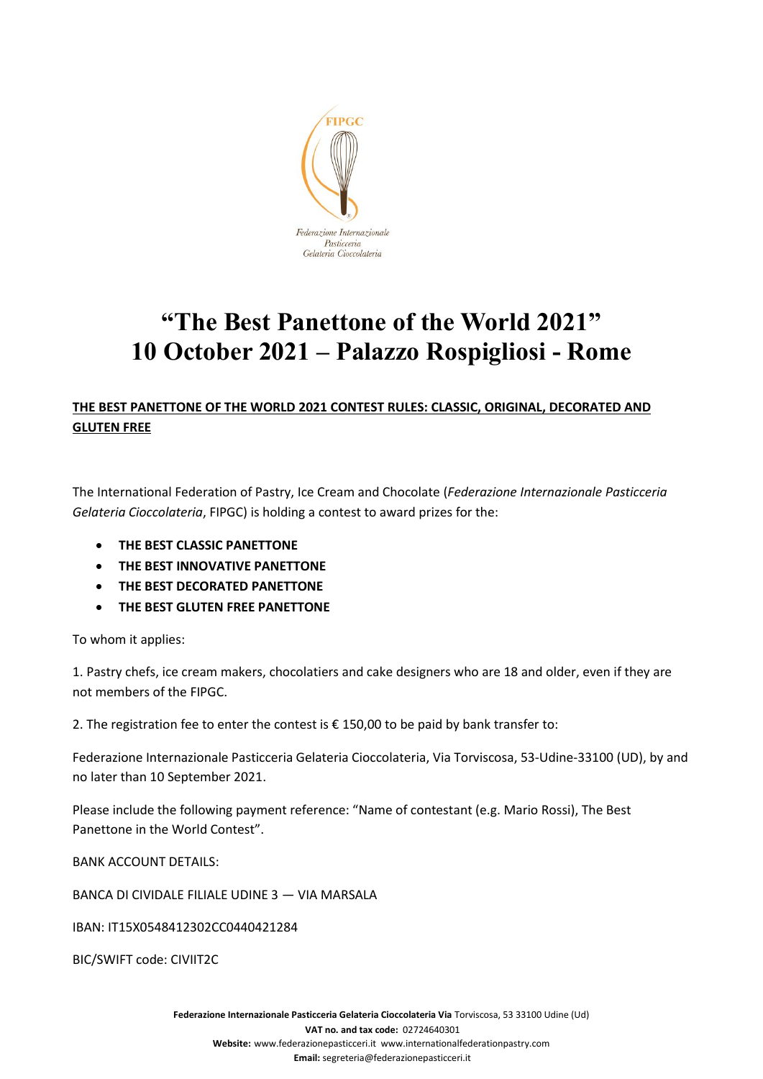

# **"The Best Panettone of the World 2021" 10 October 2021 – Palazzo Rospigliosi - Rome**

# **THE BEST PANETTONE OF THE WORLD 2021 CONTEST RULES: CLASSIC, ORIGINAL, DECORATED AND GLUTEN FREE**

The International Federation of Pastry, Ice Cream and Chocolate (*Federazione Internazionale Pasticceria Gelateria Cioccolateria*, FIPGC) is holding a contest to award prizes for the:

- **THE BEST CLASSIC PANETTONE**
- **THE BEST INNOVATIVE PANETTONE**
- **THE BEST DECORATED PANETTONE**
- **THE BEST GLUTEN FREE PANETTONE**

To whom it applies:

1. Pastry chefs, ice cream makers, chocolatiers and cake designers who are 18 and older, even if they are not members of the FIPGC.

2. The registration fee to enter the contest is  $\epsilon$  150,00 to be paid by bank transfer to:

Federazione Internazionale Pasticceria Gelateria Cioccolateria, Via Torviscosa, 53-Udine-33100 (UD), by and no later than 10 September 2021.

Please include the following payment reference: "Name of contestant (e.g. Mario Rossi), The Best Panettone in the World Contest".

BANK ACCOUNT DETAILS:

BANCA DI CIVIDALE FILIALE UDINE 3 — VIA MARSALA

IBAN: IT15X0548412302CC0440421284

BIC/SWIFT code: CIVIIT2C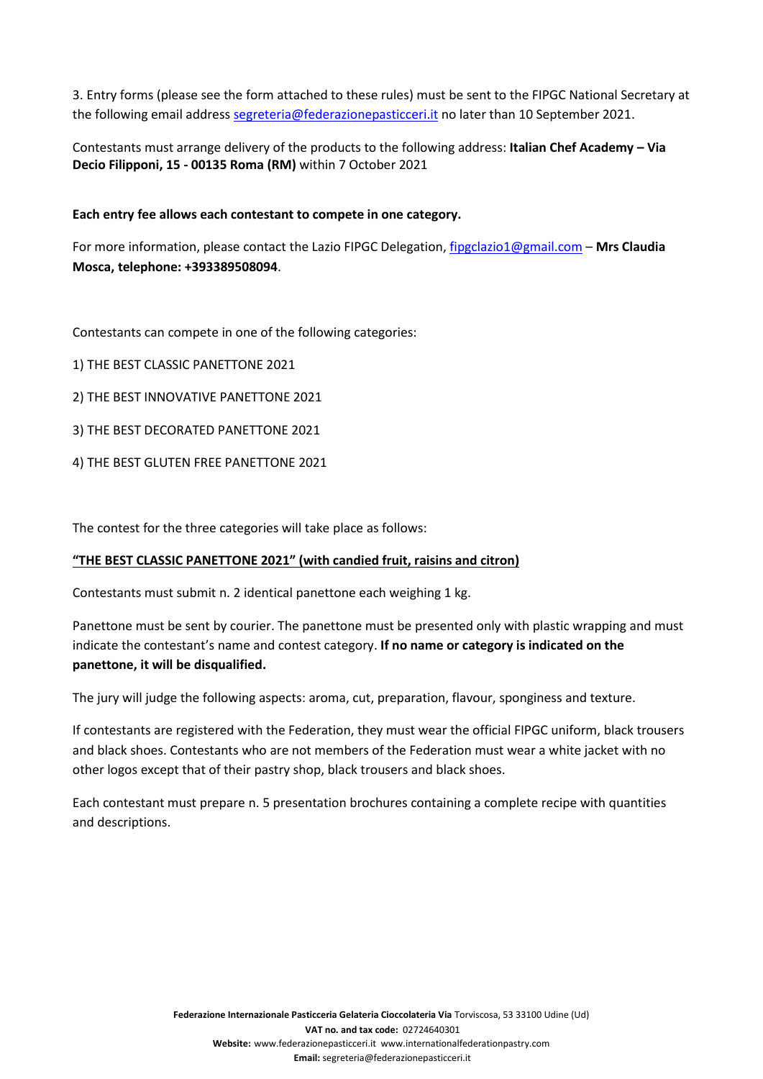3. Entry forms (please see the form attached to these rules) must be sent to the FIPGC National Secretary at the following email address [segreteria@federazionepasticceri.it](mailto:segreteria@federazionepasticceri.it) no later than 10 September 2021.

Contestants must arrange delivery of the products to the following address: **Italian Chef Academy – Via Decio Filipponi, 15 - 00135 Roma (RM)** within 7 October 2021

# **Each entry fee allows each contestant to compete in one category.**

For more information, please contact the Lazio FIPGC Delegation, [fipgclazio1@gmail.com](mailto:fipgclazio1@gmail.com) – **Mrs Claudia Mosca, telephone: +393389508094**.

Contestants can compete in one of the following categories:

- 1) THE BEST CLASSIC PANETTONE 2021
- 2) THE BEST INNOVATIVE PANETTONE 2021
- 3) THE BEST DECORATED PANETTONE 2021
- 4) THE BEST GLUTEN FREE PANETTONE 2021

The contest for the three categories will take place as follows:

## **"THE BEST CLASSIC PANETTONE 2021" (with candied fruit, raisins and citron)**

Contestants must submit n. 2 identical panettone each weighing 1 kg.

Panettone must be sent by courier. The panettone must be presented only with plastic wrapping and must indicate the contestant's name and contest category. **If no name or category is indicated on the panettone, it will be disqualified.**

The jury will judge the following aspects: aroma, cut, preparation, flavour, sponginess and texture.

If contestants are registered with the Federation, they must wear the official FIPGC uniform, black trousers and black shoes. Contestants who are not members of the Federation must wear a white jacket with no other logos except that of their pastry shop, black trousers and black shoes.

Each contestant must prepare n. 5 presentation brochures containing a complete recipe with quantities and descriptions.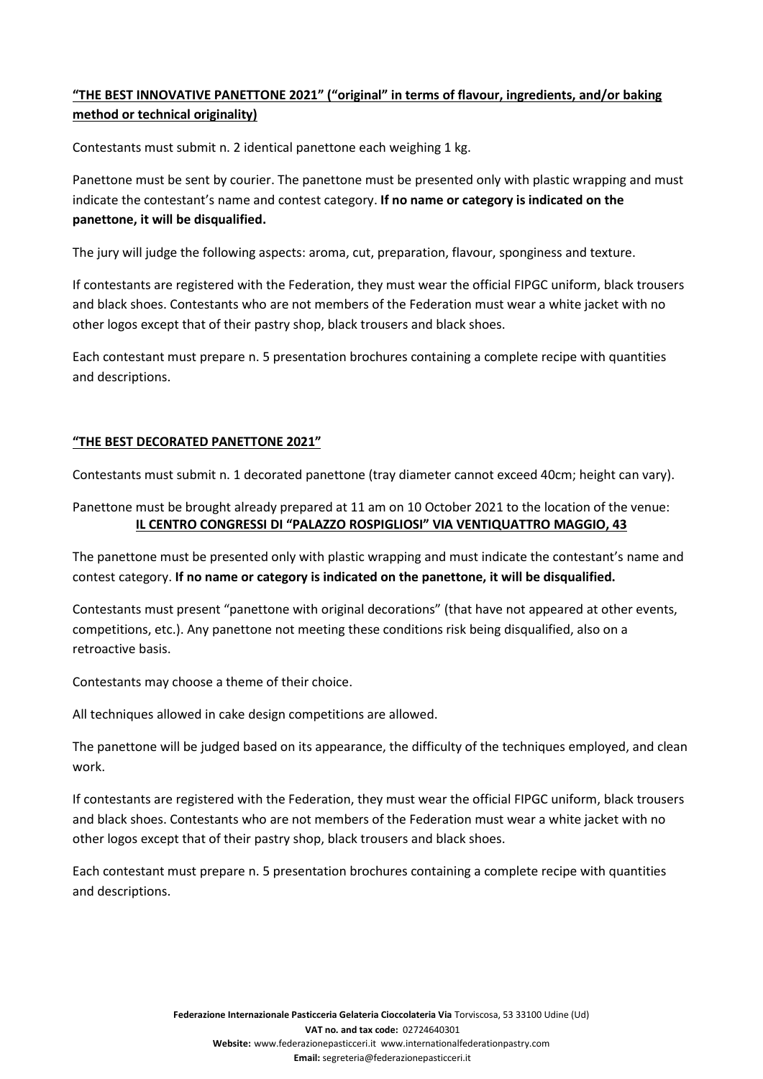# **"THE BEST INNOVATIVE PANETTONE 2021" ("original" in terms of flavour, ingredients, and/or baking method or technical originality)**

Contestants must submit n. 2 identical panettone each weighing 1 kg.

Panettone must be sent by courier. The panettone must be presented only with plastic wrapping and must indicate the contestant's name and contest category. **If no name or category is indicated on the panettone, it will be disqualified.**

The jury will judge the following aspects: aroma, cut, preparation, flavour, sponginess and texture.

If contestants are registered with the Federation, they must wear the official FIPGC uniform, black trousers and black shoes. Contestants who are not members of the Federation must wear a white jacket with no other logos except that of their pastry shop, black trousers and black shoes.

Each contestant must prepare n. 5 presentation brochures containing a complete recipe with quantities and descriptions.

# **"THE BEST DECORATED PANETTONE 2021"**

Contestants must submit n. 1 decorated panettone (tray diameter cannot exceed 40cm; height can vary).

# Panettone must be brought already prepared at 11 am on 10 October 2021 to the location of the venue: **IL CENTRO CONGRESSI DI "PALAZZO ROSPIGLIOSI" VIA VENTIQUATTRO MAGGIO, 43**

The panettone must be presented only with plastic wrapping and must indicate the contestant's name and contest category. **If no name or category is indicated on the panettone, it will be disqualified.**

Contestants must present "panettone with original decorations" (that have not appeared at other events, competitions, etc.). Any panettone not meeting these conditions risk being disqualified, also on a retroactive basis.

Contestants may choose a theme of their choice.

All techniques allowed in cake design competitions are allowed.

The panettone will be judged based on its appearance, the difficulty of the techniques employed, and clean work.

If contestants are registered with the Federation, they must wear the official FIPGC uniform, black trousers and black shoes. Contestants who are not members of the Federation must wear a white jacket with no other logos except that of their pastry shop, black trousers and black shoes.

Each contestant must prepare n. 5 presentation brochures containing a complete recipe with quantities and descriptions.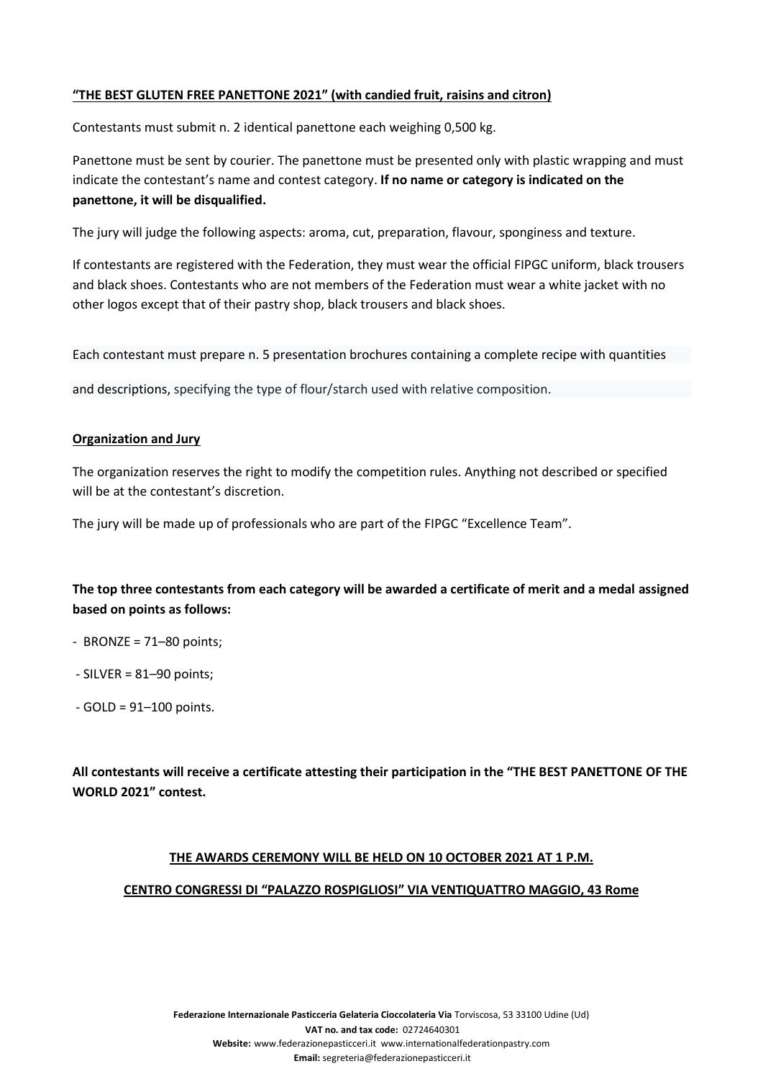# **"THE BEST GLUTEN FREE PANETTONE 2021" (with candied fruit, raisins and citron)**

Contestants must submit n. 2 identical panettone each weighing 0,500 kg.

Panettone must be sent by courier. The panettone must be presented only with plastic wrapping and must indicate the contestant's name and contest category. **If no name or category is indicated on the panettone, it will be disqualified.**

The jury will judge the following aspects: aroma, cut, preparation, flavour, sponginess and texture.

If contestants are registered with the Federation, they must wear the official FIPGC uniform, black trousers and black shoes. Contestants who are not members of the Federation must wear a white jacket with no other logos except that of their pastry shop, black trousers and black shoes.

Each contestant must prepare n. 5 presentation brochures containing a complete recipe with quantities

and descriptions, specifying the type of flour/starch used with relative composition.

## **Organization and Jury**

The organization reserves the right to modify the competition rules. Anything not described or specified will be at the contestant's discretion.

The jury will be made up of professionals who are part of the FIPGC "Excellence Team".

# **The top three contestants from each category will be awarded a certificate of merit and a medal assigned based on points as follows:**

- BRONZE = 71–80 points;
- SILVER = 81–90 points;
- GOLD = 91–100 points.

**All contestants will receive a certificate attesting their participation in the "THE BEST PANETTONE OF THE WORLD 2021" contest.**

## **THE AWARDS CEREMONY WILL BE HELD ON 10 OCTOBER 2021 AT 1 P.M.**

## **CENTRO CONGRESSI DI "PALAZZO ROSPIGLIOSI" VIA VENTIQUATTRO MAGGIO, 43 Rome**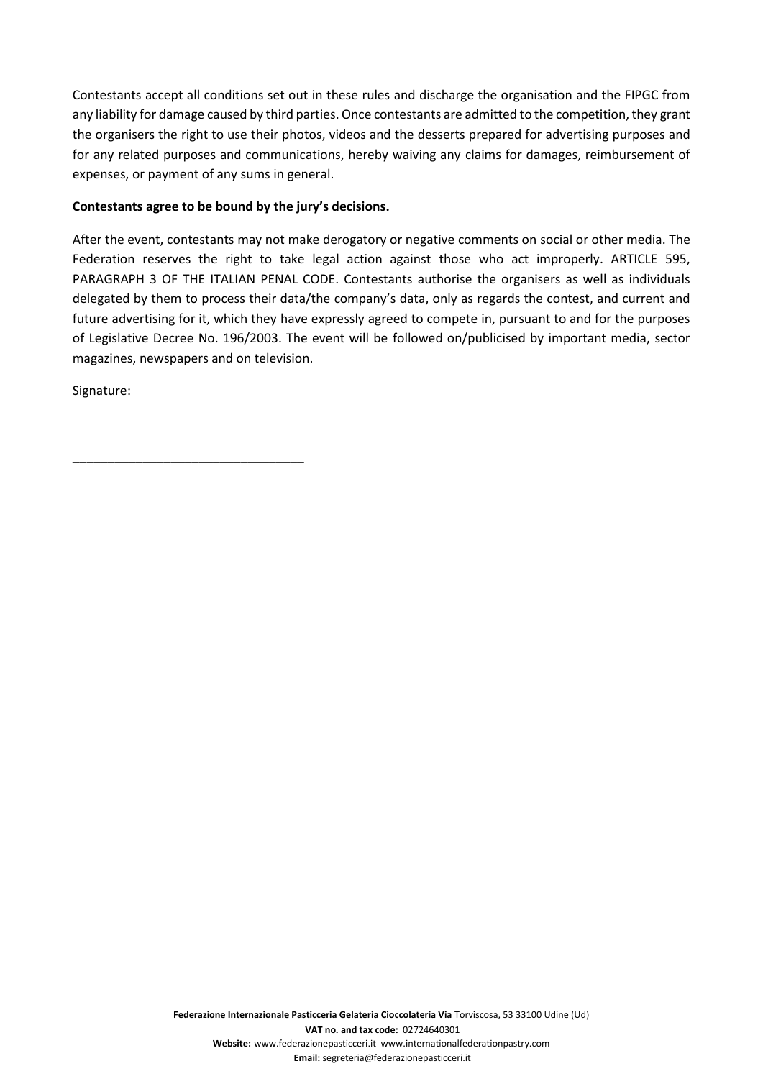Contestants accept all conditions set out in these rules and discharge the organisation and the FIPGC from any liability for damage caused by third parties. Once contestants are admitted to the competition, they grant the organisers the right to use their photos, videos and the desserts prepared for advertising purposes and for any related purposes and communications, hereby waiving any claims for damages, reimbursement of expenses, or payment of any sums in general.

# **Contestants agree to be bound by the jury's decisions.**

\_\_\_\_\_\_\_\_\_\_\_\_\_\_\_\_\_\_\_\_\_\_\_\_\_\_\_\_\_\_\_\_\_

After the event, contestants may not make derogatory or negative comments on social or other media. The Federation reserves the right to take legal action against those who act improperly. ARTICLE 595, PARAGRAPH 3 OF THE ITALIAN PENAL CODE. Contestants authorise the organisers as well as individuals delegated by them to process their data/the company's data, only as regards the contest, and current and future advertising for it, which they have expressly agreed to compete in, pursuant to and for the purposes of Legislative Decree No. 196/2003. The event will be followed on/publicised by important media, sector magazines, newspapers and on television.

Signature:

**Federazione Internazionale Pasticceria Gelateria Cioccolateria Via** Torviscosa, 53 33100 Udine (Ud) **VAT no. and tax code:** 02724640301 **Website:** www.federazionepasticceri.it www.internationalfederationpastry.com **Email:** segreteria@federazionepasticceri.it